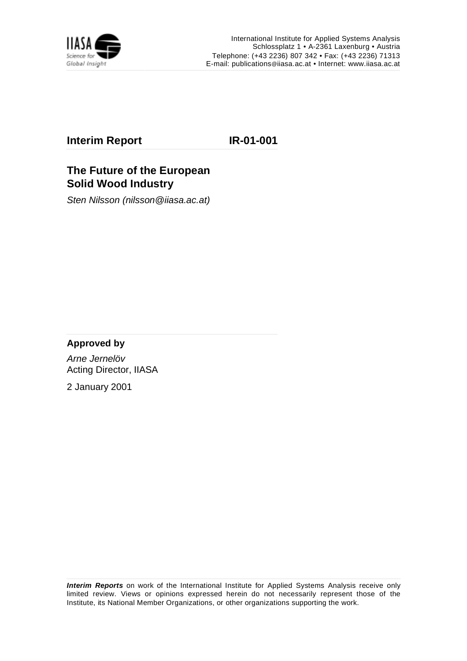

### **Interim Report IR-01-001**

# **The Future of the European Solid Wood Industry**

Sten Nilsson (nilsson@iiasa.ac.at)

### **Approved by**

Arne Jernelöv Acting Director, IIASA

2 January 2001

**Interim Reports** on work of the International Institute for Applied Systems Analysis receive only limited review. Views or opinions expressed herein do not necessarily represent those of the Institute, its National Member Organizations, or other organizations supporting the work.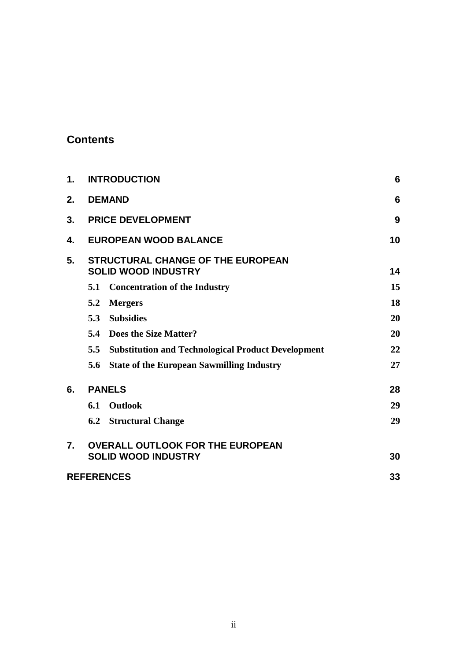# **Contents**

| 1. | <b>INTRODUCTION</b>                                                    | 6  |
|----|------------------------------------------------------------------------|----|
| 2. | <b>DEMAND</b>                                                          | 6  |
| 3. | <b>PRICE DEVELOPMENT</b>                                               | 9  |
| 4. | <b>EUROPEAN WOOD BALANCE</b>                                           | 10 |
| 5. | <b>STRUCTURAL CHANGE OF THE EUROPEAN</b><br><b>SOLID WOOD INDUSTRY</b> | 14 |
|    | <b>Concentration of the Industry</b><br>5.1                            | 15 |
|    | <b>Mergers</b><br>5.2                                                  | 18 |
|    | <b>Subsidies</b><br>5.3                                                | 20 |
|    | Does the Size Matter?<br>5.4                                           | 20 |
|    | <b>Substitution and Technological Product Development</b><br>5.5       | 22 |
|    | <b>State of the European Sawmilling Industry</b><br>5.6                | 27 |
| 6. | <b>PANELS</b>                                                          | 28 |
|    | <b>Outlook</b><br>6.1                                                  | 29 |
|    | <b>Structural Change</b><br>6.2                                        | 29 |
| 7. | <b>OVERALL OUTLOOK FOR THE EUROPEAN</b>                                |    |
|    | <b>SOLID WOOD INDUSTRY</b>                                             | 30 |
|    | <b>REFERENCES</b>                                                      | 33 |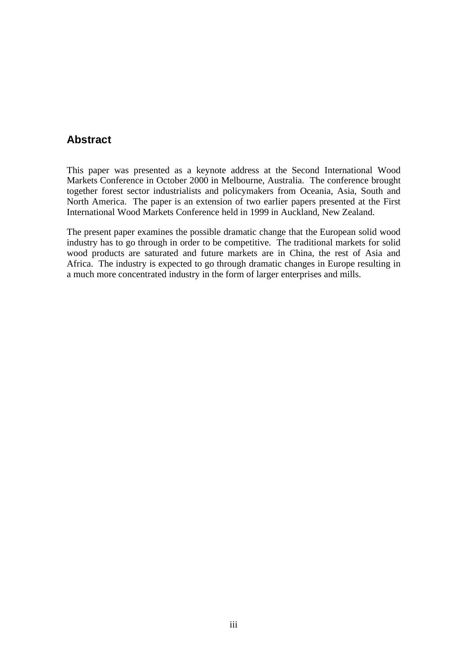# **Abstract**

This paper was presented as a keynote address at the Second International Wood Markets Conference in October 2000 in Melbourne, Australia. The conference brought together forest sector industrialists and policymakers from Oceania, Asia, South and North America. The paper is an extension of two earlier papers presented at the First International Wood Markets Conference held in 1999 in Auckland, New Zealand.

The present paper examines the possible dramatic change that the European solid wood industry has to go through in order to be competitive. The traditional markets for solid wood products are saturated and future markets are in China, the rest of Asia and Africa. The industry is expected to go through dramatic changes in Europe resulting in a much more concentrated industry in the form of larger enterprises and mills.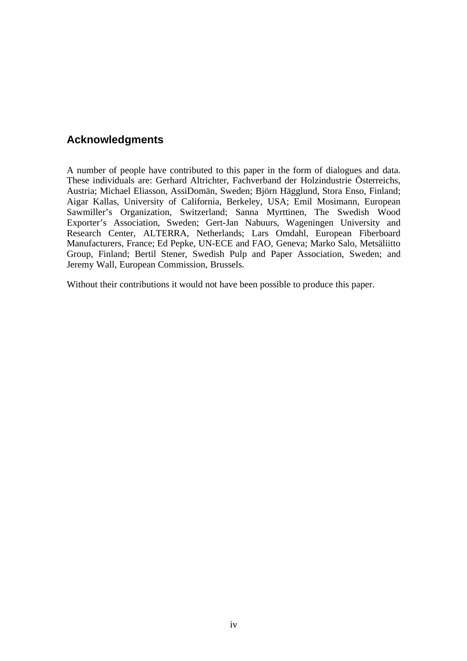# **Acknowledgments**

A number of people have contributed to this paper in the form of dialogues and data. These individuals are: Gerhard Altrichter, Fachverband der Holzindustrie Österreichs, Austria; Michael Eliasson, AssiDomän, Sweden; Björn Hägglund, Stora Enso, Finland; Aigar Kallas, University of California, Berkeley, USA; Emil Mosimann, European Sawmiller's Organization, Switzerland; Sanna Myrttinen, The Swedish Wood Exporter's Association, Sweden; Gert-Jan Nabuurs, Wageningen University and Research Center, ALTERRA, Netherlands; Lars Omdahl, European Fiberboard Manufacturers, France; Ed Pepke, UN-ECE and FAO, Geneva; Marko Salo, Metsäliitto Group, Finland; Bertil Stener, Swedish Pulp and Paper Association, Sweden; and Jeremy Wall, European Commission, Brussels.

Without their contributions it would not have been possible to produce this paper.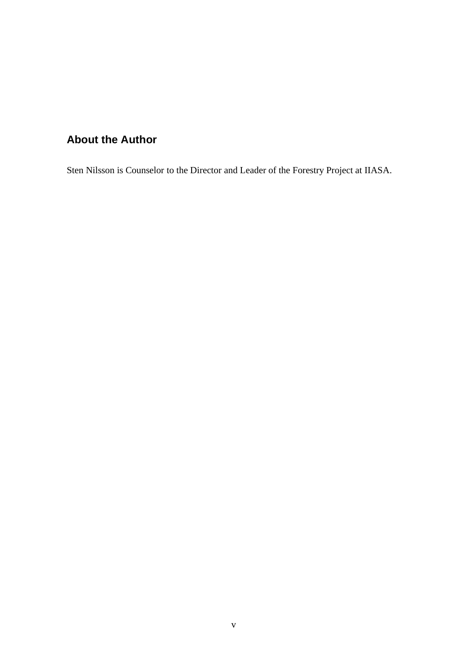# **About the Author**

Sten Nilsson is Counselor to the Director and Leader of the Forestry Project at IIASA.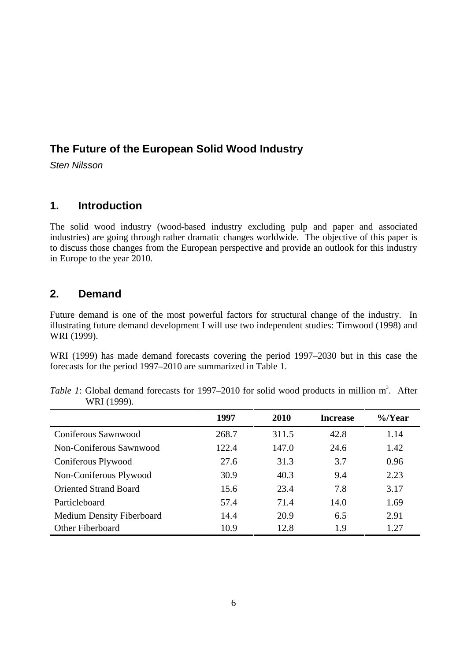# **The Future of the European Solid Wood Industry**

Sten Nilsson

# **1. Introduction**

The solid wood industry (wood-based industry excluding pulp and paper and associated industries) are going through rather dramatic changes worldwide. The objective of this paper is to discuss those changes from the European perspective and provide an outlook for this industry in Europe to the year 2010.

### **2. Demand**

Future demand is one of the most powerful factors for structural change of the industry. In illustrating future demand development I will use two independent studies: Timwood (1998) and WRI (1999).

WRI (1999) has made demand forecasts covering the period 1997–2030 but in this case the forecasts for the period 1997–2010 are summarized in Table 1.

|                                  | 1997  | 2010  | <b>Increase</b> | $\%$ /Year |
|----------------------------------|-------|-------|-----------------|------------|
| Coniferous Sawnwood              | 268.7 | 311.5 | 42.8            | 1.14       |
| Non-Coniferous Sawnwood          | 122.4 | 147.0 | 24.6            | 1.42       |
| Coniferous Plywood               | 27.6  | 31.3  | 3.7             | 0.96       |
| Non-Coniferous Plywood           | 30.9  | 40.3  | 9.4             | 2.23       |
| <b>Oriented Strand Board</b>     | 15.6  | 23.4  | 7.8             | 3.17       |
| Particleboard                    | 57.4  | 71.4  | 14.0            | 1.69       |
| <b>Medium Density Fiberboard</b> | 14.4  | 20.9  | 6.5             | 2.91       |
| <b>Other Fiberboard</b>          | 10.9  | 12.8  | 1.9             | 1.27       |

Table 1: Global demand forecasts for 1997–2010 for solid wood products in million m<sup>3</sup>. After WRI (1999).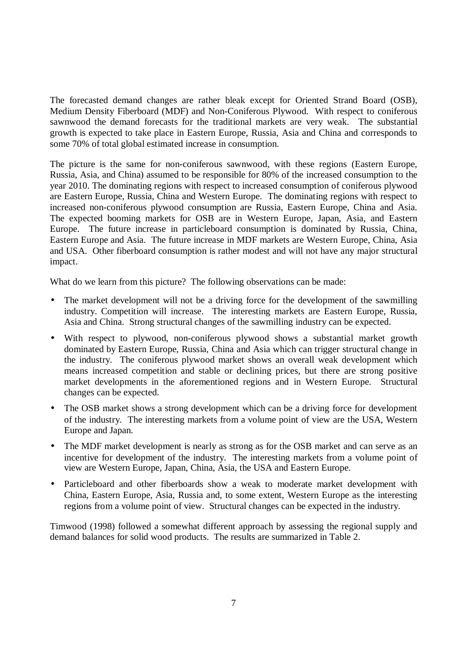The forecasted demand changes are rather bleak except for Oriented Strand Board (OSB), Medium Density Fiberboard (MDF) and Non-Coniferous Plywood. With respect to coniferous sawnwood the demand forecasts for the traditional markets are very weak. The substantial growth is expected to take place in Eastern Europe, Russia, Asia and China and corresponds to some 70% of total global estimated increase in consumption.

The picture is the same for non-coniferous sawnwood, with these regions (Eastern Europe, Russia, Asia, and China) assumed to be responsible for 80% of the increased consumption to the year 2010. The dominating regions with respect to increased consumption of coniferous plywood are Eastern Europe, Russia, China and Western Europe. The dominating regions with respect to increased non-coniferous plywood consumption are Russia, Eastern Europe, China and Asia. The expected booming markets for OSB are in Western Europe, Japan, Asia, and Eastern Europe. The future increase in particleboard consumption is dominated by Russia, China, Eastern Europe and Asia. The future increase in MDF markets are Western Europe, China, Asia and USA. Other fiberboard consumption is rather modest and will not have any major structural impact.

What do we learn from this picture? The following observations can be made:

- The market development will not be a driving force for the development of the sawmilling industry. Competition will increase. The interesting markets are Eastern Europe, Russia, Asia and China. Strong structural changes of the sawmilling industry can be expected.
- With respect to plywood, non-coniferous plywood shows a substantial market growth dominated by Eastern Europe, Russia, China and Asia which can trigger structural change in the industry. The coniferous plywood market shows an overall weak development which means increased competition and stable or declining prices, but there are strong positive market developments in the aforementioned regions and in Western Europe. Structural changes can be expected.
- The OSB market shows a strong development which can be a driving force for development of the industry. The interesting markets from a volume point of view are the USA, Western Europe and Japan.
- The MDF market development is nearly as strong as for the OSB market and can serve as an incentive for development of the industry. The interesting markets from a volume point of view are Western Europe, Japan, China, Asia, the USA and Eastern Europe.
- Particleboard and other fiberboards show a weak to moderate market development with China, Eastern Europe, Asia, Russia and, to some extent, Western Europe as the interesting regions from a volume point of view. Structural changes can be expected in the industry.

Timwood (1998) followed a somewhat different approach by assessing the regional supply and demand balances for solid wood products. The results are summarized in Table 2.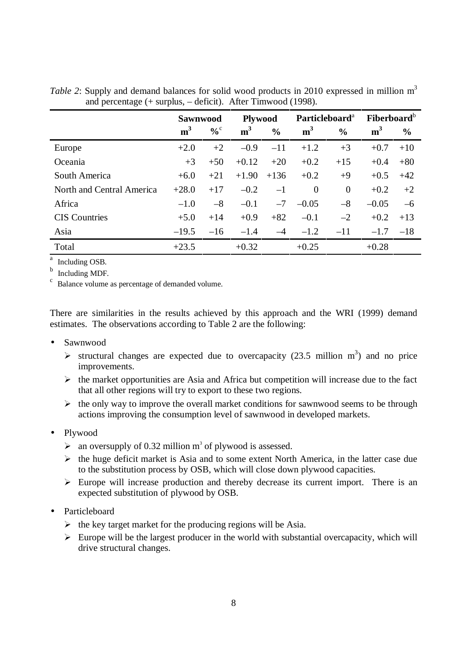|                           | <b>Sawnwood</b> |                   | <b>Plywood</b> |               | Particleboard <sup>a</sup> |               | Fiberboard <sup>b</sup> |               |
|---------------------------|-----------------|-------------------|----------------|---------------|----------------------------|---------------|-------------------------|---------------|
|                           | m <sup>3</sup>  | $\%$ <sup>c</sup> | m <sup>3</sup> | $\frac{0}{0}$ | m <sup>3</sup>             | $\frac{0}{0}$ | m <sup>3</sup>          | $\frac{0}{0}$ |
| Europe                    | $+2.0$          | $+2$              | $-0.9$         | $-11$         | $+1.2$                     | $+3$          | $+0.7$                  | $+10$         |
| Oceania                   | $+3$            | $+50$             | $+0.12$        | $+20$         | $+0.2$                     | $+15$         | $+0.4$                  | $+80$         |
| South America             | $+6.0$          | $+21$             | $+1.90$        | $+136$        | $+0.2$                     | $+9$          | $+0.5$                  | $+42$         |
| North and Central America | $+28.0$         | $+17$             | $-0.2$         | $-1$          | $\theta$                   | $\theta$      | $+0.2$                  | $+2$          |
| Africa                    | $-1.0$          | $-8$              | $-0.1$         | $-7$          | $-0.05$                    | $-8$          | $-0.05$                 | $-6$          |
| <b>CIS</b> Countries      | $+5.0$          | $+14$             | $+0.9$         | $+82$         | $-0.1$                     | $-2$          | $+0.2$                  | $+13$         |
| Asia                      | $-19.5$         | $-16$             | $-1.4$         | $-4$          | $-1.2$                     | $-11$         | $-1.7$                  | $-18$         |
| Total                     | $+23.5$         |                   | $+0.32$        |               | $+0.25$                    |               | $+0.28$                 |               |

*Table 2*: Supply and demand balances for solid wood products in 2010 expressed in million m<sup>3</sup> and percentage  $(+)$  surplus,  $-$  deficit). After Timwood (1998).

a Including OSB.

b Including MDF.

Balance volume as percentage of demanded volume.

There are similarities in the results achieved by this approach and the WRI (1999) demand estimates. The observations according to Table 2 are the following:

- Sawnwood
	- $\triangleright$  structural changes are expected due to overcapacity (23.5 million m<sup>3</sup>) and no price improvements.
	- $\triangleright$  the market opportunities are Asia and Africa but competition will increase due to the fact that all other regions will try to export to these two regions.
	- $\triangleright$  the only way to improve the overall market conditions for sawnwood seems to be through actions improving the consumption level of sawnwood in developed markets.
- Plywood
	- $\triangleright$  an oversupply of 0.32 million m<sup>3</sup> of plywood is assessed.
	- $\triangleright$  the huge deficit market is Asia and to some extent North America, in the latter case due to the substitution process by OSB, which will close down plywood capacities.
	- $\triangleright$  Europe will increase production and thereby decrease its current import. There is an expected substitution of plywood by OSB.
- Particleboard
	- $\triangleright$  the key target market for the producing regions will be Asia.
	- $\triangleright$  Europe will be the largest producer in the world with substantial overcapacity, which will drive structural changes.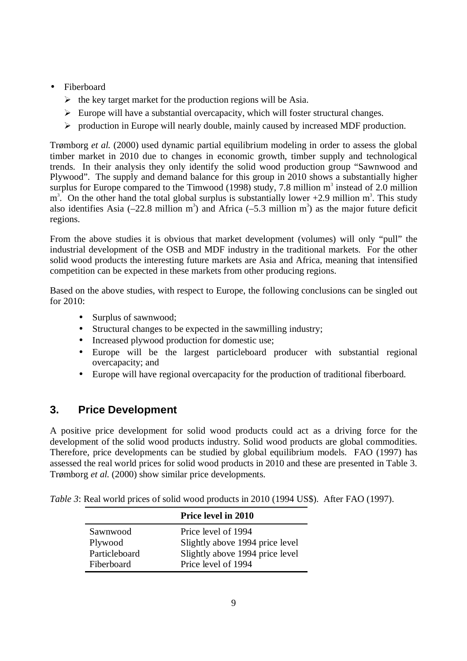- Fiberboard
	- $\triangleright$  the key target market for the production regions will be Asia.
	- $\triangleright$  Europe will have a substantial overcapacity, which will foster structural changes.
	- ½ production in Europe will nearly double, mainly caused by increased MDF production.

Trømborg *et al.* (2000) used dynamic partial equilibrium modeling in order to assess the global timber market in 2010 due to changes in economic growth, timber supply and technological trends. In their analysis they only identify the solid wood production group "Sawnwood and Plywood". The supply and demand balance for this group in 2010 shows a substantially higher surplus for Europe compared to the Timwood (1998) study, 7.8 million  $m<sup>3</sup>$  instead of 2.0 million  $m<sup>3</sup>$ . On the other hand the total global surplus is substantially lower +2.9 million  $m<sup>3</sup>$ . This study also identifies Asia (-22.8 million m<sup>3</sup>) and Africa (-5.3 million m<sup>3</sup>) as the major future deficit regions.

From the above studies it is obvious that market development (volumes) will only "pull" the industrial development of the OSB and MDF industry in the traditional markets. For the other solid wood products the interesting future markets are Asia and Africa, meaning that intensified competition can be expected in these markets from other producing regions.

Based on the above studies, with respect to Europe, the following conclusions can be singled out for 2010:

- Surplus of sawnwood;
- Structural changes to be expected in the sawmilling industry;
- Increased plywood production for domestic use;
- Europe will be the largest particleboard producer with substantial regional overcapacity; and
- Europe will have regional overcapacity for the production of traditional fiberboard.

### **3. Price Development**

A positive price development for solid wood products could act as a driving force for the development of the solid wood products industry. Solid wood products are global commodities. Therefore, price developments can be studied by global equilibrium models. FAO (1997) has assessed the real world prices for solid wood products in 2010 and these are presented in Table 3. Trømborg *et al.* (2000) show similar price developments.

|  | Table 3: Real world prices of solid wood products in 2010 (1994 US\$). After FAO (1997). |  |  |  |
|--|------------------------------------------------------------------------------------------|--|--|--|
|--|------------------------------------------------------------------------------------------|--|--|--|

|               | Price level in 2010             |
|---------------|---------------------------------|
| Sawnwood      | Price level of 1994             |
| Plywood       | Slightly above 1994 price level |
| Particleboard | Slightly above 1994 price level |
| Fiberboard    | Price level of 1994             |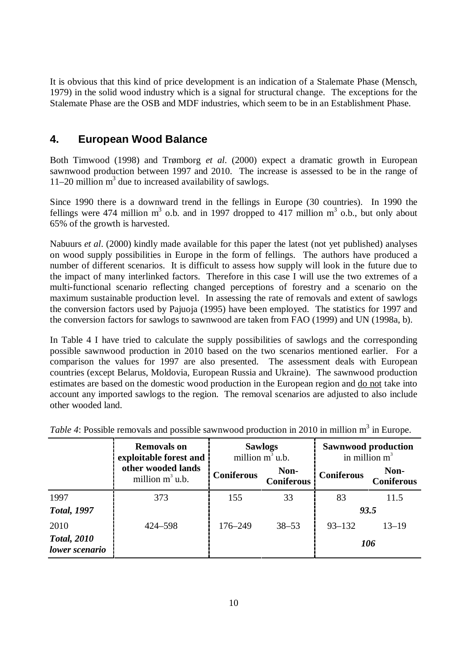It is obvious that this kind of price development is an indication of a Stalemate Phase (Mensch, 1979) in the solid wood industry which is a signal for structural change. The exceptions for the Stalemate Phase are the OSB and MDF industries, which seem to be in an Establishment Phase.

# **4. European Wood Balance**

Both Timwood (1998) and Trømborg *et al*. (2000) expect a dramatic growth in European sawnwood production between 1997 and 2010. The increase is assessed to be in the range of 11–20 million  $m<sup>3</sup>$  due to increased availability of sawlogs.

Since 1990 there is a downward trend in the fellings in Europe (30 countries). In 1990 the fellings were 474 million  $m^3$  o.b. and in 1997 dropped to 417 million  $m^3$  o.b., but only about 65% of the growth is harvested.

Nabuurs *et al*. (2000) kindly made available for this paper the latest (not yet published) analyses on wood supply possibilities in Europe in the form of fellings. The authors have produced a number of different scenarios. It is difficult to assess how supply will look in the future due to the impact of many interlinked factors. Therefore in this case I will use the two extremes of a multi-functional scenario reflecting changed perceptions of forestry and a scenario on the maximum sustainable production level. In assessing the rate of removals and extent of sawlogs the conversion factors used by Pajuoja (1995) have been employed. The statistics for 1997 and the conversion factors for sawlogs to sawnwood are taken from FAO (1999) and UN (1998a, b).

In Table 4 I have tried to calculate the supply possibilities of sawlogs and the corresponding possible sawnwood production in 2010 based on the two scenarios mentioned earlier. For a comparison the values for 1997 are also presented. The assessment deals with European countries (except Belarus, Moldovia, European Russia and Ukraine). The sawnwood production estimates are based on the domestic wood production in the European region and do not take into account any imported sawlogs to the region. The removal scenarios are adjusted to also include other wooded land.

|                                      | <b>Removals on</b><br>exploitable forest and |                   | <b>Sawlogs</b><br>million m <sup>3</sup> u.b. | <b>Sawnwood production</b><br>in million $m^3$ |                           |  |
|--------------------------------------|----------------------------------------------|-------------------|-----------------------------------------------|------------------------------------------------|---------------------------|--|
|                                      | other wooded lands<br>million $m^3$ u.b.     | <b>Coniferous</b> | Non-<br><b>Coniferous</b>                     | <b>Coniferous</b>                              | Non-<br><b>Coniferous</b> |  |
| 1997                                 | 373                                          | 155               | 33                                            | 83                                             | 11.5                      |  |
| <b>Total, 1997</b>                   |                                              |                   |                                               | 93.5                                           |                           |  |
| 2010                                 | 424-598                                      | 176-249           | $38 - 53$                                     | $93 - 132$                                     | $13 - 19$                 |  |
| <b>Total, 2010</b><br>lower scenario |                                              |                   |                                               | 106                                            |                           |  |

Table 4: Possible removals and possible sawnwood production in 2010 in million m<sup>3</sup> in Europe.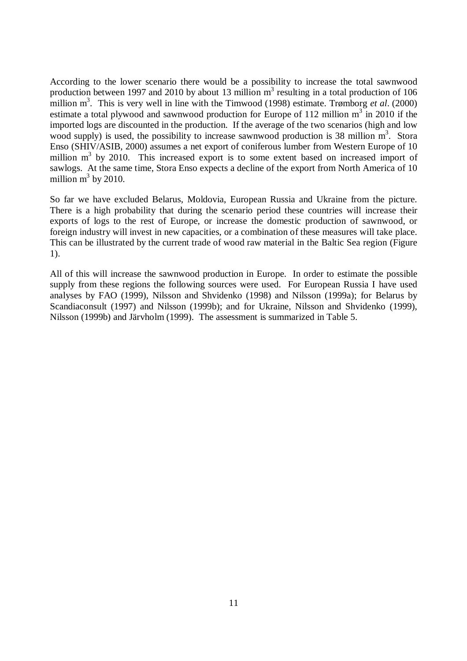According to the lower scenario there would be a possibility to increase the total sawnwood production between 1997 and 2010 by about 13 million  $m<sup>3</sup>$  resulting in a total production of 106 million m<sup>3</sup>. This is very well in line with the Timwood (1998) estimate. Trømborg *et al.* (2000) estimate a total plywood and sawnwood production for Europe of 112 million  $m<sup>3</sup>$  in 2010 if the imported logs are discounted in the production. If the average of the two scenarios (high and low wood supply) is used, the possibility to increase sawnwood production is 38 million m<sup>3</sup>. Stora Enso (SHIV/ASIB, 2000) assumes a net export of coniferous lumber from Western Europe of 10 million  $m<sup>3</sup>$  by 2010. This increased export is to some extent based on increased import of sawlogs. At the same time, Stora Enso expects a decline of the export from North America of 10 million  $m^3$  by 2010.

So far we have excluded Belarus, Moldovia, European Russia and Ukraine from the picture. There is a high probability that during the scenario period these countries will increase their exports of logs to the rest of Europe, or increase the domestic production of sawnwood, or foreign industry will invest in new capacities, or a combination of these measures will take place. This can be illustrated by the current trade of wood raw material in the Baltic Sea region (Figure 1).

All of this will increase the sawnwood production in Europe. In order to estimate the possible supply from these regions the following sources were used. For European Russia I have used analyses by FAO (1999), Nilsson and Shvidenko (1998) and Nilsson (1999a); for Belarus by Scandiaconsult (1997) and Nilsson (1999b); and for Ukraine, Nilsson and Shvidenko (1999), Nilsson (1999b) and Järvholm (1999). The assessment is summarized in Table 5.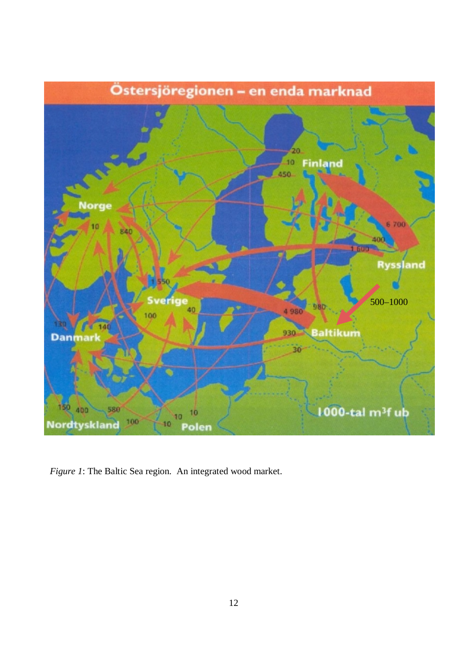

*Figure 1*: The Baltic Sea region. An integrated wood market.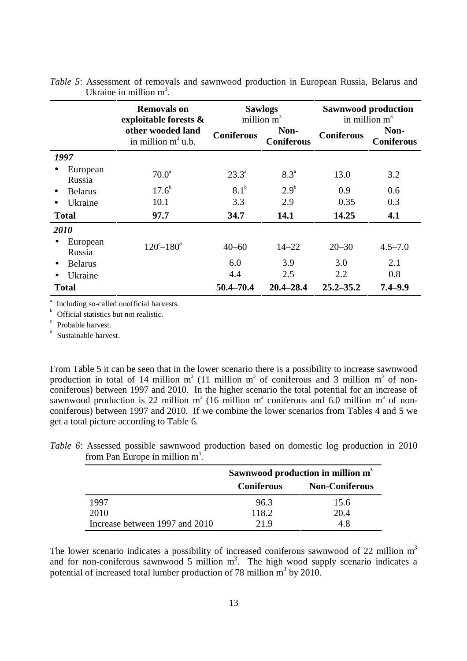|                    | <b>Removals on</b><br>exploitable forests & | <b>Sawlogs</b><br>million $m^3$ |                           | <b>Sawnwood production</b><br>in million $m^3$ |                           |
|--------------------|---------------------------------------------|---------------------------------|---------------------------|------------------------------------------------|---------------------------|
|                    | other wooded land<br>in million $m^3$ u.b.  | <b>Coniferous</b>               | Non-<br><b>Coniferous</b> | <b>Coniferous</b>                              | Non-<br><b>Coniferous</b> |
| 1997               |                                             |                                 |                           |                                                |                           |
| European<br>Russia | $70.0^{\circ}$                              | $23.3^{\circ}$                  | $8.3^{\circ}$             | 13.0                                           | 3.2                       |
| <b>Belarus</b>     | $17.6^{\circ}$                              | 8.1 <sup>b</sup>                | $2.9^{\circ}$             | 0.9                                            | 0.6                       |
| Ukraine            | 10.1                                        | 3.3                             | 2.9                       | 0.35                                           | 0.3                       |
| <b>Total</b>       | 97.7                                        | 34.7                            | 14.1                      | 14.25                                          | 4.1                       |
| 2010               |                                             |                                 |                           |                                                |                           |
| European<br>Russia | $120^{\circ}-180^{\circ}$                   | $40 - 60$                       | $14 - 22$                 | $20 - 30$                                      | $4.5 - 7.0$               |
| <b>Belarus</b>     |                                             | 6.0                             | 3.9                       | 3.0                                            | 2.1                       |
| Ukraine            |                                             | 4.4                             | 2.5                       | 2.2                                            | 0.8                       |
| <b>Total</b>       |                                             | 50.4-70.4                       | $20.4 - 28.4$             | $25.2 - 35.2$                                  | $7.4 - 9.9$               |

*Table 5*: Assessment of removals and sawnwood production in European Russia, Belarus and Ukraine in million  $m^3$ .

a Including so-called unofficial harvests.

b Official statistics but not realistic.

c Probable harvest.

d Sustainable harvest.

From Table 5 it can be seen that in the lower scenario there is a possibility to increase sawnwood production in total of 14 million  $m^3$  (11 million  $m^3$  of coniferous and 3 million  $m^3$  of nonconiferous) between 1997 and 2010. In the higher scenario the total potential for an increase of sawnwood production is 22 million  $m^3$  (16 million  $m^3$  coniferous and 6.0 million  $m^3$  of nonconiferous) between 1997 and 2010. If we combine the lower scenarios from Tables 4 and 5 we get a total picture according to Table 6.

|                                | Sawnwood production in million m <sup>3</sup> |                       |  |
|--------------------------------|-----------------------------------------------|-----------------------|--|
|                                | <b>Coniferous</b>                             | <b>Non-Coniferous</b> |  |
| 1997                           | 96.3                                          | 15.6                  |  |
| 2010                           | 118.2                                         | 20.4                  |  |
| Increase between 1997 and 2010 | 21 Q                                          |                       |  |

*Table 6*: Assessed possible sawnwood production based on domestic log production in 2010 from Pan Europe in million  $m^3$ .

The lower scenario indicates a possibility of increased coniferous sawnwood of 22 million  $m<sup>3</sup>$ and for non-coniferous sawnwood 5 million  $m<sup>3</sup>$ . The high wood supply scenario indicates a potential of increased total lumber production of 78 million  $m^3$  by 2010.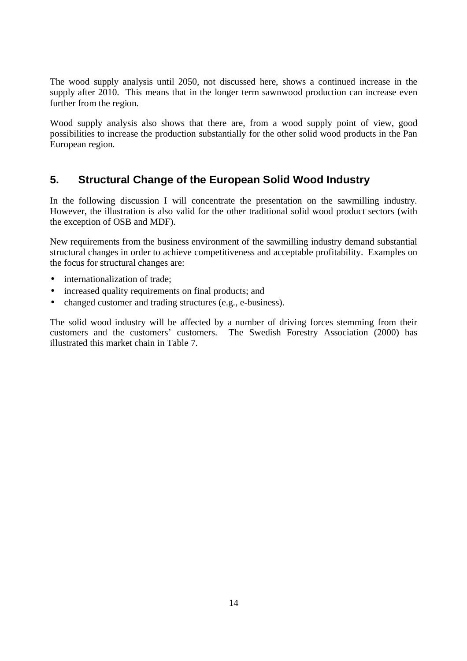The wood supply analysis until 2050, not discussed here, shows a continued increase in the supply after 2010. This means that in the longer term sawnwood production can increase even further from the region.

Wood supply analysis also shows that there are, from a wood supply point of view, good possibilities to increase the production substantially for the other solid wood products in the Pan European region.

# **5. Structural Change of the European Solid Wood Industry**

In the following discussion I will concentrate the presentation on the sawmilling industry. However, the illustration is also valid for the other traditional solid wood product sectors (with the exception of OSB and MDF).

New requirements from the business environment of the sawmilling industry demand substantial structural changes in order to achieve competitiveness and acceptable profitability. Examples on the focus for structural changes are:

- internationalization of trade;
- increased quality requirements on final products; and
- changed customer and trading structures (e.g., e-business).

The solid wood industry will be affected by a number of driving forces stemming from their customers and the customers' customers. The Swedish Forestry Association (2000) has illustrated this market chain in Table 7.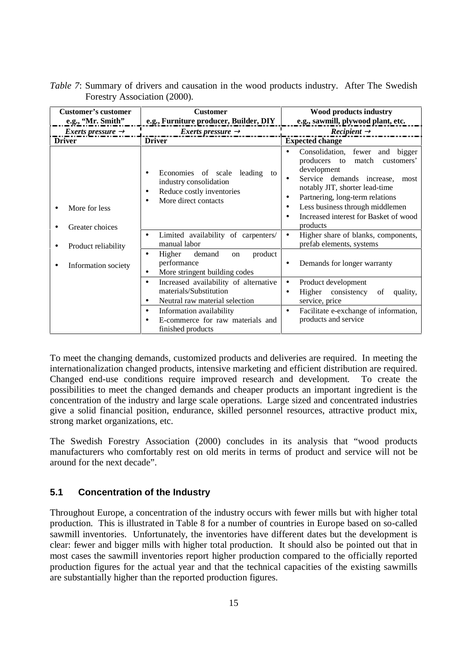| Customer's customer<br>e.g., 'Mr. Smith'' | <b>Customer</b><br>e.g., Furniture producer, Builder, DIY                                                                                                            | Wood products industry<br>e.g., sawmill, plywood plant, etc.                                                                                                                                                                                                                                      |  |
|-------------------------------------------|----------------------------------------------------------------------------------------------------------------------------------------------------------------------|---------------------------------------------------------------------------------------------------------------------------------------------------------------------------------------------------------------------------------------------------------------------------------------------------|--|
| Exerts pressure $\rightarrow$             | <i>Exerts pressure</i> $\rightarrow$                                                                                                                                 | $Recipient \rightarrow$                                                                                                                                                                                                                                                                           |  |
| <b>Driver</b>                             | <b>Driver</b>                                                                                                                                                        | <b>Expected change</b>                                                                                                                                                                                                                                                                            |  |
| More for less<br>Greater choices          | Economies of scale<br>leading to<br>٠<br>industry consolidation<br>Reduce costly inventories<br>٠<br>More direct contacts                                            | Consolidation, fewer and<br>bigger<br>producers to match<br>customers'<br>development<br>Service demands increase,<br>most<br>٠<br>notably JIT, shorter lead-time<br>Partnering, long-term relations<br>٠<br>Less business through middlemen<br>Increased interest for Basket of wood<br>products |  |
| Product reliability                       | Limited availability of carpenters/<br>$\bullet$<br>manual labor                                                                                                     | Higher share of blanks, components,<br>$\bullet$<br>prefab elements, systems                                                                                                                                                                                                                      |  |
| Information society                       | product<br>Higher<br>demand<br>$\bullet$<br><sub>on</sub><br>performance<br>More stringent building codes<br>$\bullet$                                               | Demands for longer warranty<br>$\bullet$                                                                                                                                                                                                                                                          |  |
|                                           | Increased availability of alternative<br>$\bullet$<br>materials/Substitution<br>Neutral raw material selection<br>$\bullet$<br>Information availability<br>$\bullet$ | Product development<br>$\bullet$<br>Higher consistency<br>of<br>quality,<br>$\bullet$<br>service, price<br>Facilitate e-exchange of information,<br>$\bullet$                                                                                                                                     |  |
|                                           | E-commerce for raw materials and<br>finished products                                                                                                                | products and service                                                                                                                                                                                                                                                                              |  |

*Table 7*: Summary of drivers and causation in the wood products industry. After The Swedish Forestry Association (2000).

To meet the changing demands, customized products and deliveries are required. In meeting the internationalization changed products, intensive marketing and efficient distribution are required. Changed end-use conditions require improved research and development. To create the possibilities to meet the changed demands and cheaper products an important ingredient is the concentration of the industry and large scale operations. Large sized and concentrated industries give a solid financial position, endurance, skilled personnel resources, attractive product mix, strong market organizations, etc.

The Swedish Forestry Association (2000) concludes in its analysis that "wood products manufacturers who comfortably rest on old merits in terms of product and service will not be around for the next decade".

#### **5.1 Concentration of the Industry**

Throughout Europe, a concentration of the industry occurs with fewer mills but with higher total production. This is illustrated in Table 8 for a number of countries in Europe based on so-called sawmill inventories. Unfortunately, the inventories have different dates but the development is clear: fewer and bigger mills with higher total production. It should also be pointed out that in most cases the sawmill inventories report higher production compared to the officially reported production figures for the actual year and that the technical capacities of the existing sawmills are substantially higher than the reported production figures.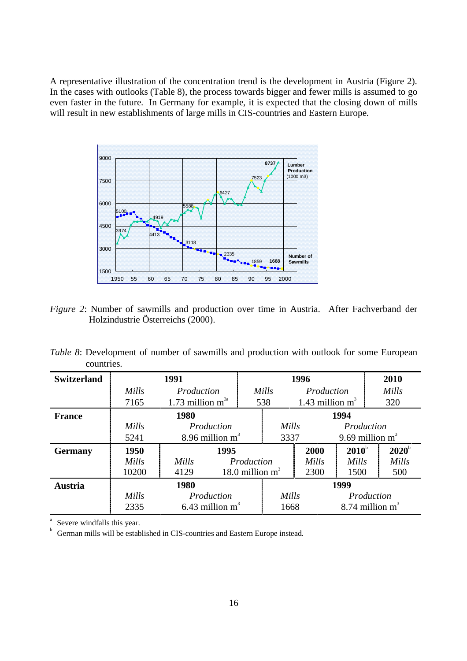A representative illustration of the concentration trend is the development in Austria (Figure 2). In the cases with outlooks (Table 8), the process towards bigger and fewer mills is assumed to go even faster in the future. In Germany for example, it is expected that the closing down of mills will result in new establishments of large mills in CIS-countries and Eastern Europe.



*Figure 2*: Number of sawmills and production over time in Austria. After Fachverband der Holzindustrie Österreichs (2000).

*Table 8*: Development of number of sawmills and production with outlook for some European countries.

| <b>Switzerland</b> | 1991  |                     |                    | 1996  |                    |                | 2010               |
|--------------------|-------|---------------------|--------------------|-------|--------------------|----------------|--------------------|
|                    | Mills | Production          |                    | Mills | Production         |                | Mills              |
|                    | 7165  | 1.73 million $m3a$  |                    | 538   | 1.43 million $m^3$ |                | 320                |
| <b>France</b>      |       | 1980                |                    |       |                    | 1994           |                    |
|                    | Mills | Production          |                    |       | Mills              |                | Production         |
|                    | 5241  | 8.96 million $m^3$  |                    | 3337  |                    |                | 9.69 million $m^3$ |
| <b>Germany</b>     | 1950  | 1995                |                    |       | 2000               | $2010^{\circ}$ | $2020^{\circ}$     |
|                    | Mills | Mills<br>Production |                    |       | Mills              | Mills          | Mills              |
|                    | 10200 | 4129                | 18.0 million $m^3$ |       | 2300               | 1500           | 500                |
| <b>Austria</b>     |       | 1980                |                    |       |                    | 1999           |                    |
|                    | Mills | Production          |                    | Mills |                    |                | Production         |
|                    | 2335  | 6.43 million $m^3$  |                    | 1668  |                    |                | 8.74 million $m^3$ |

a  $\frac{1}{b}$  Severe windfalls this year.

German mills will be established in CIS-countries and Eastern Europe instead.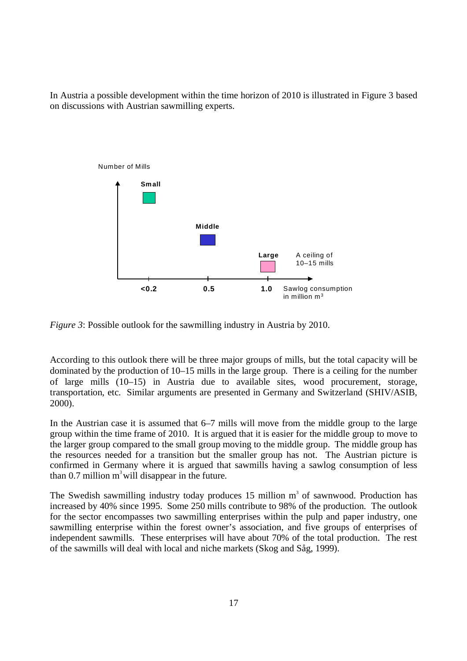In Austria a possible development within the time horizon of 2010 is illustrated in Figure 3 based on discussions with Austrian sawmilling experts.



*Figure 3*: Possible outlook for the sawmilling industry in Austria by 2010.

According to this outlook there will be three major groups of mills, but the total capacity will be dominated by the production of 10–15 mills in the large group. There is a ceiling for the number of large mills (10–15) in Austria due to available sites, wood procurement, storage, transportation, etc. Similar arguments are presented in Germany and Switzerland (SHIV/ASIB, 2000).

In the Austrian case it is assumed that 6–7 mills will move from the middle group to the large group within the time frame of 2010. It is argued that it is easier for the middle group to move to the larger group compared to the small group moving to the middle group. The middle group has the resources needed for a transition but the smaller group has not. The Austrian picture is confirmed in Germany where it is argued that sawmills having a sawlog consumption of less than  $0.7$  million m<sup>3</sup> will disappear in the future.

The Swedish sawmilling industry today produces  $15$  million  $m<sup>3</sup>$  of sawnwood. Production has increased by 40% since 1995. Some 250 mills contribute to 98% of the production. The outlook for the sector encompasses two sawmilling enterprises within the pulp and paper industry, one sawmilling enterprise within the forest owner's association, and five groups of enterprises of independent sawmills. These enterprises will have about 70% of the total production. The rest of the sawmills will deal with local and niche markets (Skog and Såg, 1999).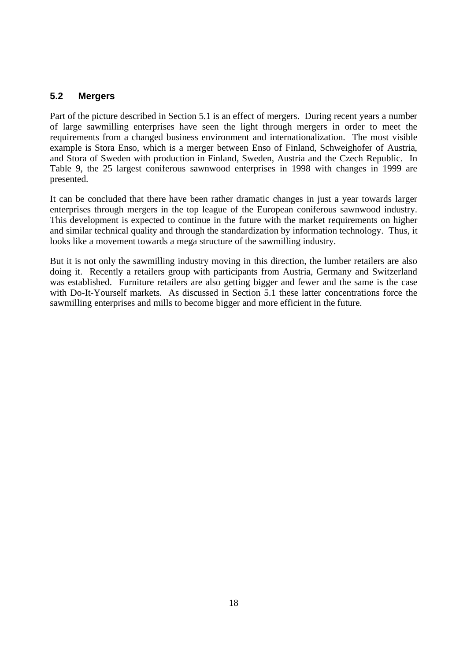### **5.2 Mergers**

Part of the picture described in Section 5.1 is an effect of mergers. During recent years a number of large sawmilling enterprises have seen the light through mergers in order to meet the requirements from a changed business environment and internationalization. The most visible example is Stora Enso, which is a merger between Enso of Finland, Schweighofer of Austria, and Stora of Sweden with production in Finland, Sweden, Austria and the Czech Republic. In Table 9, the 25 largest coniferous sawnwood enterprises in 1998 with changes in 1999 are presented.

It can be concluded that there have been rather dramatic changes in just a year towards larger enterprises through mergers in the top league of the European coniferous sawnwood industry. This development is expected to continue in the future with the market requirements on higher and similar technical quality and through the standardization by information technology. Thus, it looks like a movement towards a mega structure of the sawmilling industry.

But it is not only the sawmilling industry moving in this direction, the lumber retailers are also doing it. Recently a retailers group with participants from Austria, Germany and Switzerland was established. Furniture retailers are also getting bigger and fewer and the same is the case with Do-It-Yourself markets. As discussed in Section 5.1 these latter concentrations force the sawmilling enterprises and mills to become bigger and more efficient in the future.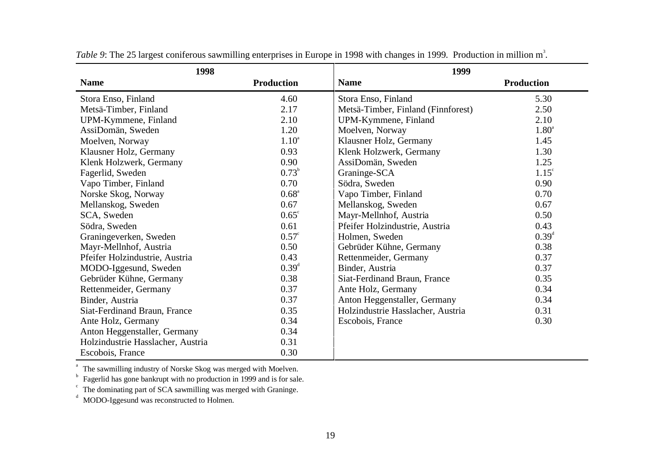| 1998                              |                   | 1999                               |                   |
|-----------------------------------|-------------------|------------------------------------|-------------------|
| <b>Name</b>                       | <b>Production</b> | <b>Name</b>                        | <b>Production</b> |
| Stora Enso, Finland               | 4.60              | Stora Enso, Finland                | 5.30              |
| Metsä-Timber, Finland             | 2.17              | Metsä-Timber, Finland (Finnforest) | 2.50              |
| UPM-Kymmene, Finland              | 2.10              | UPM-Kymmene, Finland               | 2.10              |
| AssiDomän, Sweden                 | 1.20              | Moelven, Norway                    | $1.80^{\circ}$    |
| Moelven, Norway                   | $1.10^{a}$        | Klausner Holz, Germany             | 1.45              |
| Klausner Holz, Germany            | 0.93              | Klenk Holzwerk, Germany            | 1.30              |
| Klenk Holzwerk, Germany           | 0.90              | AssiDomän, Sweden                  | 1.25              |
| Fagerlid, Sweden                  | $0.73^b$          | Graninge-SCA                       | $1.15^{\circ}$    |
| Vapo Timber, Finland              | 0.70              | Södra, Sweden                      | 0.90              |
| Norske Skog, Norway               | $0.68^{\circ}$    | Vapo Timber, Finland               | 0.70              |
| Mellanskog, Sweden                | 0.67              | Mellanskog, Sweden                 | 0.67              |
| SCA, Sweden                       | $0.65^{\circ}$    | Mayr-Mellnhof, Austria             | 0.50              |
| Södra, Sweden                     | 0.61              | Pfeifer Holzindustrie, Austria     | 0.43              |
| Graningeverken, Sweden            | $0.57^{\circ}$    | Holmen, Sweden                     | $0.39^{\rm d}$    |
| Mayr-Mellnhof, Austria            | 0.50              | Gebrüder Kühne, Germany            | 0.38              |
| Pfeifer Holzindustrie, Austria    | 0.43              | Rettenmeider, Germany              | 0.37              |
| MODO-Iggesund, Sweden             | $0.39^{\rm d}$    | Binder, Austria                    | 0.37              |
| Gebrüder Kühne, Germany           | 0.38              | Siat-Ferdinand Braun, France       | 0.35              |
| Rettenmeider, Germany             | 0.37              | Ante Holz, Germany                 | 0.34              |
| Binder, Austria                   | 0.37              | Anton Heggenstaller, Germany       | 0.34              |
| Siat-Ferdinand Braun, France      | 0.35              | Holzindustrie Hasslacher, Austria  | 0.31              |
| Ante Holz, Germany                | 0.34              | Escobois, France                   | 0.30              |
| Anton Heggenstaller, Germany      | 0.34              |                                    |                   |
| Holzindustrie Hasslacher, Austria | 0.31              |                                    |                   |
| Escobois, France                  | 0.30              |                                    |                   |

*Table 9*: The 25 largest coniferous sawmilling enterprises in Europe in 1998 with changes in 1999. Production in million m<sup>3</sup>.

a The sawmilling industry of Norske Skog was merged with Moelven. b

Fagerlid has gone bankrupt with no production in 1999 and is for sale.

cThe dominating part of SCA sawmilling was merged with Graninge.

dMODO-Iggesund was reconstructed to Holmen.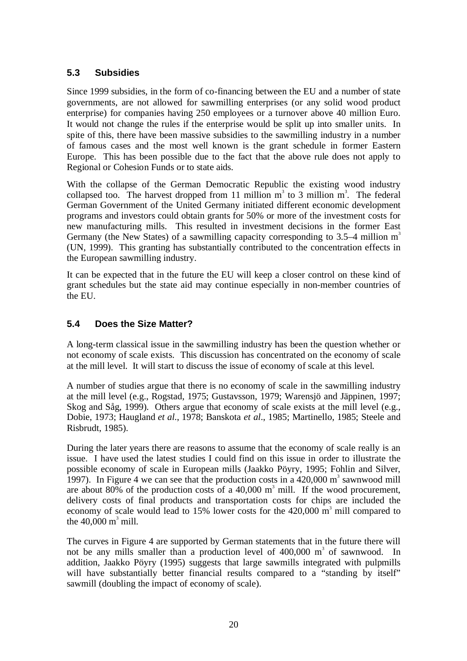### **5.3 Subsidies**

Since 1999 subsidies, in the form of co-financing between the EU and a number of state governments, are not allowed for sawmilling enterprises (or any solid wood product enterprise) for companies having 250 employees or a turnover above 40 million Euro. It would not change the rules if the enterprise would be split up into smaller units. In spite of this, there have been massive subsidies to the sawmilling industry in a number of famous cases and the most well known is the grant schedule in former Eastern Europe. This has been possible due to the fact that the above rule does not apply to Regional or Cohesion Funds or to state aids.

With the collapse of the German Democratic Republic the existing wood industry collapsed too. The harvest dropped from 11 million  $m<sup>3</sup>$  to 3 million  $m<sup>3</sup>$ . The federal German Government of the United Germany initiated different economic development programs and investors could obtain grants for 50% or more of the investment costs for new manufacturing mills. This resulted in investment decisions in the former East Germany (the New States) of a sawmilling capacity corresponding to 3.5–4 million  $m<sup>3</sup>$ (UN, 1999). This granting has substantially contributed to the concentration effects in the European sawmilling industry.

It can be expected that in the future the EU will keep a closer control on these kind of grant schedules but the state aid may continue especially in non-member countries of the EU.

### **5.4 Does the Size Matter?**

A long-term classical issue in the sawmilling industry has been the question whether or not economy of scale exists. This discussion has concentrated on the economy of scale at the mill level. It will start to discuss the issue of economy of scale at this level.

A number of studies argue that there is no economy of scale in the sawmilling industry at the mill level (e.g., Rogstad, 1975; Gustavsson, 1979; Warensjö and Jäppinen, 1997; Skog and Såg, 1999). Others argue that economy of scale exists at the mill level (e.g., Dobie, 1973; Haugland *et al*., 1978; Banskota *et al*., 1985; Martinello, 1985; Steele and Risbrudt, 1985).

During the later years there are reasons to assume that the economy of scale really is an issue. I have used the latest studies I could find on this issue in order to illustrate the possible economy of scale in European mills (Jaakko Pöyry, 1995; Fohlin and Silver, 1997). In Figure 4 we can see that the production costs in a  $420,000 \text{ m}^3$  sawnwood mill are about 80% of the production costs of a  $40,000 \text{ m}^3$  mill. If the wood procurement, delivery costs of final products and transportation costs for chips are included the economy of scale would lead to  $15\%$  lower costs for the  $420,000 \text{ m}^3$  mill compared to the  $40,000 \text{ m}^3 \text{ mill.}$ 

The curves in Figure 4 are supported by German statements that in the future there will not be any mills smaller than a production level of  $400,000$  m<sup>3</sup> of sawnwood. In addition, Jaakko Pöyry (1995) suggests that large sawmills integrated with pulpmills will have substantially better financial results compared to a "standing by itself" sawmill (doubling the impact of economy of scale).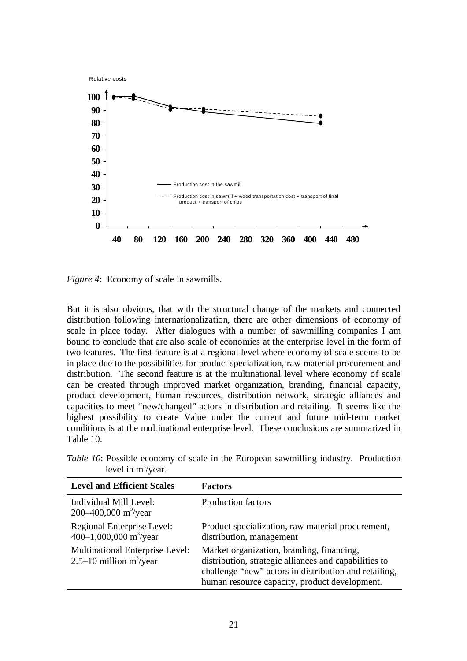

*Figure 4*: Economy of scale in sawmills.

But it is also obvious, that with the structural change of the markets and connected distribution following internationalization, there are other dimensions of economy of scale in place today. After dialogues with a number of sawmilling companies I am bound to conclude that are also scale of economies at the enterprise level in the form of two features. The first feature is at a regional level where economy of scale seems to be in place due to the possibilities for product specialization, raw material procurement and distribution. The second feature is at the multinational level where economy of scale can be created through improved market organization, branding, financial capacity, product development, human resources, distribution network, strategic alliances and capacities to meet "new/changed" actors in distribution and retailing. It seems like the highest possibility to create Value under the current and future mid-term market conditions is at the multinational enterprise level. These conclusions are summarized in Table 10.

*Table 10*: Possible economy of scale in the European sawmilling industry. Production level in  $m^3$ /year.

| <b>Level and Efficient Scales</b>                                    | <b>Factors</b>                                                                                                                                                                                               |
|----------------------------------------------------------------------|--------------------------------------------------------------------------------------------------------------------------------------------------------------------------------------------------------------|
| Individual Mill Level:<br>200–400,000 m <sup>3</sup> /year           | <b>Production factors</b>                                                                                                                                                                                    |
| Regional Enterprise Level:<br>400-1,000,000 m <sup>3</sup> /year     | Product specialization, raw material procurement,<br>distribution, management                                                                                                                                |
| <b>Multinational Enterprise Level:</b><br>2.5–10 million $m^3$ /year | Market organization, branding, financing,<br>distribution, strategic alliances and capabilities to<br>challenge "new" actors in distribution and retailing,<br>human resource capacity, product development. |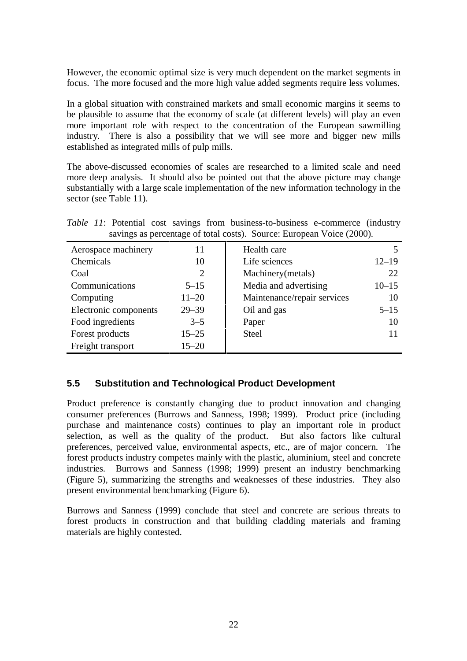However, the economic optimal size is very much dependent on the market segments in focus. The more focused and the more high value added segments require less volumes.

In a global situation with constrained markets and small economic margins it seems to be plausible to assume that the economy of scale (at different levels) will play an even more important role with respect to the concentration of the European sawmilling industry. There is also a possibility that we will see more and bigger new mills established as integrated mills of pulp mills.

The above-discussed economies of scales are researched to a limited scale and need more deep analysis. It should also be pointed out that the above picture may change substantially with a large scale implementation of the new information technology in the sector (see Table 11).

*Table 11*: Potential cost savings from business-to-business e-commerce (industry savings as percentage of total costs). Source: European Voice (2000).

| Aerospace machinery   | 11        | Health care                 |           |
|-----------------------|-----------|-----------------------------|-----------|
| Chemicals             | 10        | Life sciences               | $12 - 19$ |
| Coal                  | 2         | Machinery (metals)          | 22        |
| Communications        | $5 - 15$  | Media and advertising       | $10 - 15$ |
| Computing             | $11 - 20$ | Maintenance/repair services | 10        |
| Electronic components | $29 - 39$ | Oil and gas                 | $5 - 15$  |
| Food ingredients      | $3 - 5$   | Paper                       | 10        |
| Forest products       | $15 - 25$ | <b>Steel</b>                |           |
| Freight transport     | $15 - 20$ |                             |           |

### **5.5 Substitution and Technological Product Development**

Product preference is constantly changing due to product innovation and changing consumer preferences (Burrows and Sanness, 1998; 1999). Product price (including purchase and maintenance costs) continues to play an important role in product selection, as well as the quality of the product. But also factors like cultural preferences, perceived value, environmental aspects, etc., are of major concern. The forest products industry competes mainly with the plastic, aluminium, steel and concrete industries. Burrows and Sanness (1998; 1999) present an industry benchmarking (Figure 5), summarizing the strengths and weaknesses of these industries. They also present environmental benchmarking (Figure 6).

Burrows and Sanness (1999) conclude that steel and concrete are serious threats to forest products in construction and that building cladding materials and framing materials are highly contested.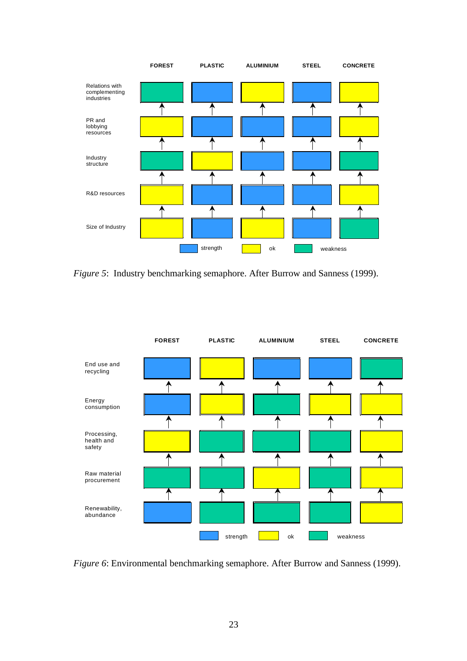

*Figure 5*: Industry benchmarking semaphore. After Burrow and Sanness (1999).



*Figure 6*: Environmental benchmarking semaphore. After Burrow and Sanness (1999).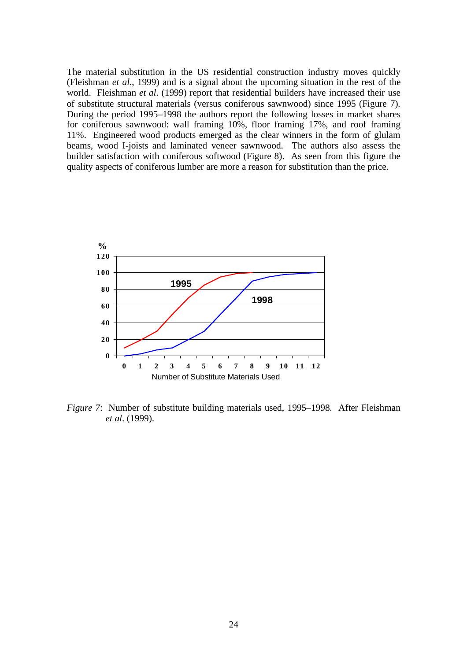The material substitution in the US residential construction industry moves quickly (Fleishman *et al*., 1999) and is a signal about the upcoming situation in the rest of the world. Fleishman *et al*. (1999) report that residential builders have increased their use of substitute structural materials (versus coniferous sawnwood) since 1995 (Figure 7). During the period 1995–1998 the authors report the following losses in market shares for coniferous sawnwood: wall framing 10%, floor framing 17%, and roof framing 11%. Engineered wood products emerged as the clear winners in the form of glulam beams, wood I-joists and laminated veneer sawnwood. The authors also assess the builder satisfaction with coniferous softwood (Figure 8). As seen from this figure the quality aspects of coniferous lumber are more a reason for substitution than the price.



*Figure 7*: Number of substitute building materials used, 1995–1998. After Fleishman *et al*. (1999).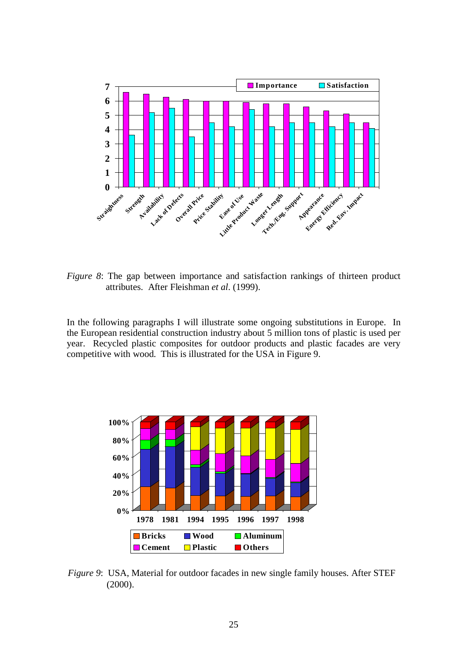

*Figure 8*: The gap between importance and satisfaction rankings of thirteen product attributes. After Fleishman *et al*. (1999).

In the following paragraphs I will illustrate some ongoing substitutions in Europe. In the European residential construction industry about 5 million tons of plastic is used per year. Recycled plastic composites for outdoor products and plastic facades are very competitive with wood. This is illustrated for the USA in Figure 9.



*Figure 9*: USA, Material for outdoor facades in new single family houses. After STEF (2000).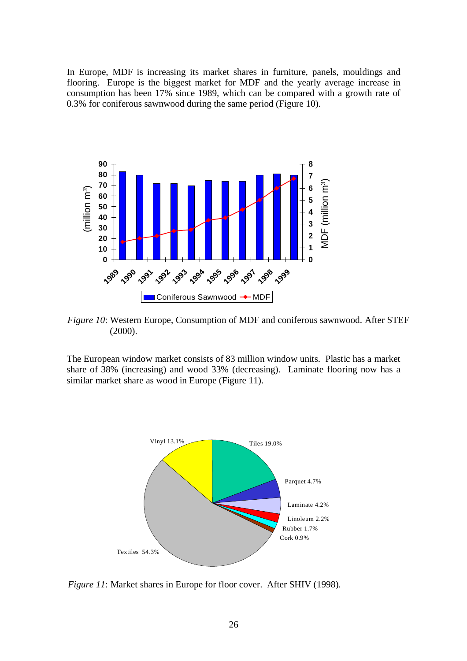In Europe, MDF is increasing its market shares in furniture, panels, mouldings and flooring. Europe is the biggest market for MDF and the yearly average increase in consumption has been 17% since 1989, which can be compared with a growth rate of 0.3% for coniferous sawnwood during the same period (Figure 10).



*Figure 10*: Western Europe, Consumption of MDF and coniferous sawnwood. After STEF (2000).

The European window market consists of 83 million window units. Plastic has a market share of 38% (increasing) and wood 33% (decreasing). Laminate flooring now has a similar market share as wood in Europe (Figure 11).



*Figure 11*: Market shares in Europe for floor cover. After SHIV (1998).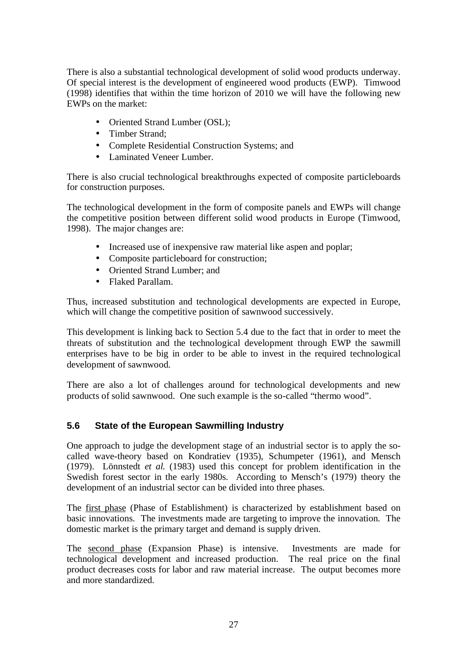There is also a substantial technological development of solid wood products underway. Of special interest is the development of engineered wood products (EWP). Timwood (1998) identifies that within the time horizon of 2010 we will have the following new EWPs on the market:

- Oriented Strand Lumber (OSL);
- Timber Strand:
- Complete Residential Construction Systems; and
- Laminated Veneer Lumber.

There is also crucial technological breakthroughs expected of composite particleboards for construction purposes.

The technological development in the form of composite panels and EWPs will change the competitive position between different solid wood products in Europe (Timwood, 1998). The major changes are:

- Increased use of inexpensive raw material like aspen and poplar;
- Composite particleboard for construction;
- Oriented Strand Lumber; and
- Flaked Parallam.

Thus, increased substitution and technological developments are expected in Europe, which will change the competitive position of sawnwood successively.

This development is linking back to Section 5.4 due to the fact that in order to meet the threats of substitution and the technological development through EWP the sawmill enterprises have to be big in order to be able to invest in the required technological development of sawnwood.

There are also a lot of challenges around for technological developments and new products of solid sawnwood. One such example is the so-called "thermo wood".

### **5.6 State of the European Sawmilling Industry**

One approach to judge the development stage of an industrial sector is to apply the socalled wave-theory based on Kondratiev (1935), Schumpeter (1961), and Mensch (1979). Lönnstedt *et al.* (1983) used this concept for problem identification in the Swedish forest sector in the early 1980s. According to Mensch's (1979) theory the development of an industrial sector can be divided into three phases.

The first phase (Phase of Establishment) is characterized by establishment based on basic innovations. The investments made are targeting to improve the innovation. The domestic market is the primary target and demand is supply driven.

The second phase (Expansion Phase) is intensive. Investments are made for technological development and increased production. The real price on the final product decreases costs for labor and raw material increase. The output becomes more and more standardized.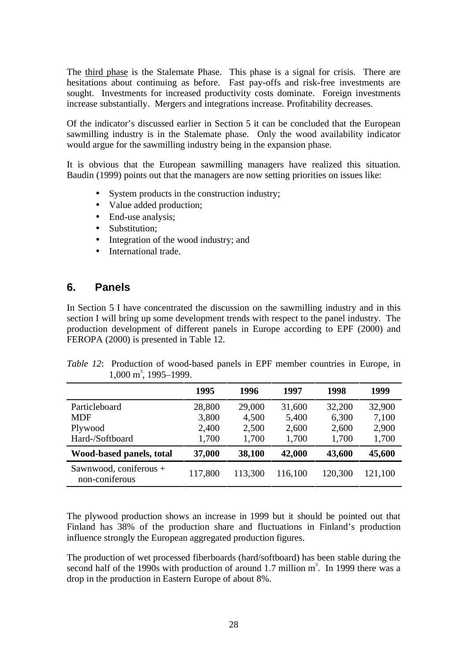The third phase is the Stalemate Phase. This phase is a signal for crisis. There are hesitations about continuing as before. Fast pay-offs and risk-free investments are sought. Investments for increased productivity costs dominate. Foreign investments increase substantially. Mergers and integrations increase. Profitability decreases.

Of the indicator's discussed earlier in Section 5 it can be concluded that the European sawmilling industry is in the Stalemate phase. Only the wood availability indicator would argue for the sawmilling industry being in the expansion phase.

It is obvious that the European sawmilling managers have realized this situation. Baudin (1999) points out that the managers are now setting priorities on issues like:

- System products in the construction industry;
- Value added production;
- End-use analysis;
- Substitution:
- Integration of the wood industry; and
- International trade.

### **6. Panels**

In Section 5 I have concentrated the discussion on the sawmilling industry and in this section I will bring up some development trends with respect to the panel industry. The production development of different panels in Europe according to EPF (2000) and FEROPA (2000) is presented in Table 12.

| <i>Table 12:</i> Production of wood-based panels in EPF member countries in Europe, in |  |  |  |  |
|----------------------------------------------------------------------------------------|--|--|--|--|
| $1,000 \text{ m}^3$ , 1995–1999.                                                       |  |  |  |  |

|                                          | 1995    | 1996    | 1997    | 1998    | 1999    |
|------------------------------------------|---------|---------|---------|---------|---------|
| Particleboard                            | 28,800  | 29,000  | 31,600  | 32,200  | 32,900  |
| <b>MDF</b>                               | 3,800   | 4,500   | 5,400   | 6,300   | 7,100   |
| Plywood                                  | 2,400   | 2,500   | 2,600   | 2,600   | 2,900   |
| Hard-/Softboard                          | 1,700   | 1,700   | 1,700   | 1,700   | 1,700   |
| Wood-based panels, total                 | 37,000  | 38,100  | 42,000  | 43,600  | 45,600  |
| Sawnwood, coniferous +<br>non-coniferous | 117,800 | 113,300 | 116,100 | 120,300 | 121,100 |

The plywood production shows an increase in 1999 but it should be pointed out that Finland has 38% of the production share and fluctuations in Finland's production influence strongly the European aggregated production figures.

The production of wet processed fiberboards (hard/softboard) has been stable during the second half of the 1990s with production of around 1.7 million  $m<sup>3</sup>$ . In 1999 there was a drop in the production in Eastern Europe of about 8%.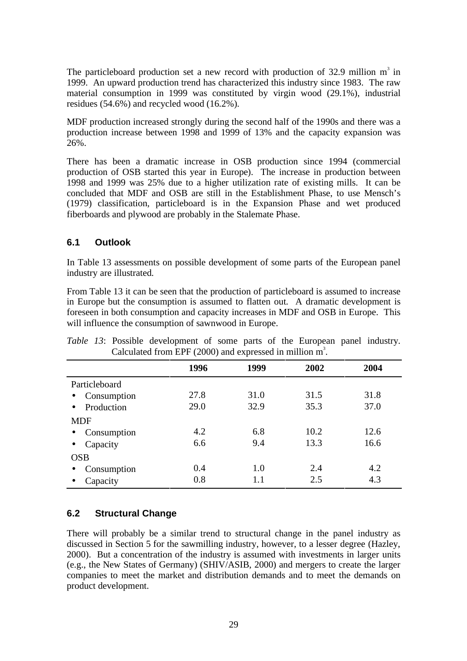The particleboard production set a new record with production of 32.9 million  $m<sup>3</sup>$  in 1999. An upward production trend has characterized this industry since 1983. The raw material consumption in 1999 was constituted by virgin wood (29.1%), industrial residues (54.6%) and recycled wood (16.2%).

MDF production increased strongly during the second half of the 1990s and there was a production increase between 1998 and 1999 of 13% and the capacity expansion was 26%.

There has been a dramatic increase in OSB production since 1994 (commercial production of OSB started this year in Europe). The increase in production between 1998 and 1999 was 25% due to a higher utilization rate of existing mills. It can be concluded that MDF and OSB are still in the Establishment Phase, to use Mensch's (1979) classification, particleboard is in the Expansion Phase and wet produced fiberboards and plywood are probably in the Stalemate Phase.

### **6.1 Outlook**

In Table 13 assessments on possible development of some parts of the European panel industry are illustrated.

From Table 13 it can be seen that the production of particleboard is assumed to increase in Europe but the consumption is assumed to flatten out. A dramatic development is foreseen in both consumption and capacity increases in MDF and OSB in Europe. This will influence the consumption of sawnwood in Europe.

| $\frac{1}{2}$ can $\frac{1}{2}$ can $\frac{1}{2}$ (2000) and $\frac{1}{2}$ capital in immon in $\frac{1}{2}$ |      |         |      |      |  |
|--------------------------------------------------------------------------------------------------------------|------|---------|------|------|--|
|                                                                                                              | 1996 | 1999    | 2002 | 2004 |  |
| Particleboard                                                                                                |      |         |      |      |  |
| Consumption<br>$\bullet$                                                                                     | 27.8 | 31.0    | 31.5 | 31.8 |  |
| Production<br>$\bullet$                                                                                      | 29.0 | 32.9    | 35.3 | 37.0 |  |
| <b>MDF</b>                                                                                                   |      |         |      |      |  |
| Consumption<br>$\bullet$                                                                                     | 4.2  | 6.8     | 10.2 | 12.6 |  |
| Capacity<br>$\bullet$                                                                                        | 6.6  | 9.4     | 13.3 | 16.6 |  |
| <b>OSB</b>                                                                                                   |      |         |      |      |  |
| Consumption<br>$\bullet$                                                                                     | 0.4  | 1.0     | 2.4  | 4.2  |  |
| Capacity                                                                                                     | 0.8  | $1.1\,$ | 2.5  | 4.3  |  |

*Table 13*: Possible development of some parts of the European panel industry. Calculated from EPF (2000) and expressed in million  $m^3$ .

### **6.2 Structural Change**

There will probably be a similar trend to structural change in the panel industry as discussed in Section 5 for the sawmilling industry, however, to a lesser degree (Hazley, 2000). But a concentration of the industry is assumed with investments in larger units (e.g., the New States of Germany) (SHIV/ASIB, 2000) and mergers to create the larger companies to meet the market and distribution demands and to meet the demands on product development.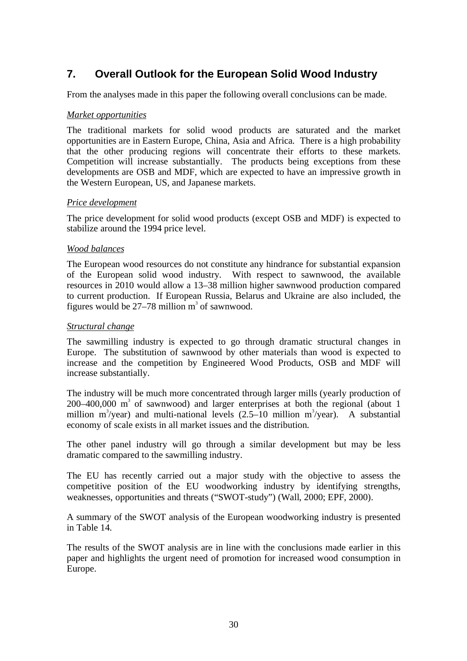# **7. Overall Outlook for the European Solid Wood Industry**

From the analyses made in this paper the following overall conclusions can be made.

#### *Market opportunities*

The traditional markets for solid wood products are saturated and the market opportunities are in Eastern Europe, China, Asia and Africa. There is a high probability that the other producing regions will concentrate their efforts to these markets. Competition will increase substantially. The products being exceptions from these developments are OSB and MDF, which are expected to have an impressive growth in the Western European, US, and Japanese markets.

#### *Price development*

The price development for solid wood products (except OSB and MDF) is expected to stabilize around the 1994 price level.

#### *Wood balances*

The European wood resources do not constitute any hindrance for substantial expansion of the European solid wood industry. With respect to sawnwood, the available resources in 2010 would allow a 13–38 million higher sawnwood production compared to current production. If European Russia, Belarus and Ukraine are also included, the figures would be  $27-78$  million m<sup>3</sup> of sawnwood.

#### *Structural change*

The sawmilling industry is expected to go through dramatic structural changes in Europe. The substitution of sawnwood by other materials than wood is expected to increase and the competition by Engineered Wood Products, OSB and MDF will increase substantially.

The industry will be much more concentrated through larger mills (yearly production of  $200-400,000$  m<sup>3</sup> of sawnwood) and larger enterprises at both the regional (about 1 million m<sup>3</sup>/year) and multi-national levels  $(2.5-10$  million m<sup>3</sup>/year). A substantial economy of scale exists in all market issues and the distribution.

The other panel industry will go through a similar development but may be less dramatic compared to the sawmilling industry.

The EU has recently carried out a major study with the objective to assess the competitive position of the EU woodworking industry by identifying strengths, weaknesses, opportunities and threats ("SWOT-study") (Wall, 2000; EPF, 2000).

A summary of the SWOT analysis of the European woodworking industry is presented in Table 14.

The results of the SWOT analysis are in line with the conclusions made earlier in this paper and highlights the urgent need of promotion for increased wood consumption in Europe.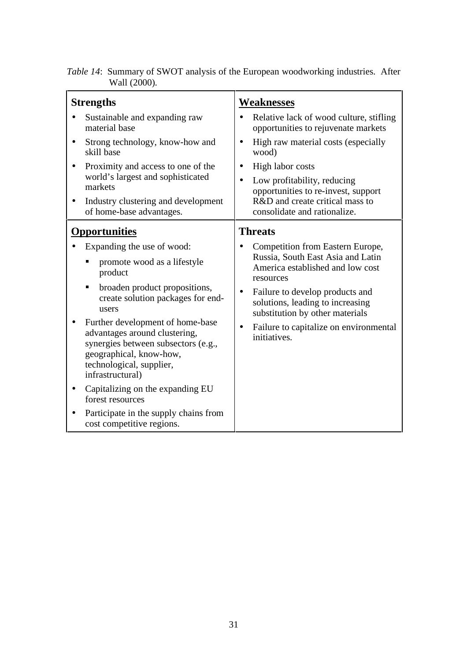|              |  | Table 14: Summary of SWOT analysis of the European woodworking industries. After |  |
|--------------|--|----------------------------------------------------------------------------------|--|
| Wall (2000). |  |                                                                                  |  |

| <b>Strengths</b>                                                                                                                                                                                                                                                                                                                                                                                                                                                                                      | <b>Weaknesses</b>                                                                                                                                                                                                                                                                                                                      |  |  |  |  |
|-------------------------------------------------------------------------------------------------------------------------------------------------------------------------------------------------------------------------------------------------------------------------------------------------------------------------------------------------------------------------------------------------------------------------------------------------------------------------------------------------------|----------------------------------------------------------------------------------------------------------------------------------------------------------------------------------------------------------------------------------------------------------------------------------------------------------------------------------------|--|--|--|--|
| Sustainable and expanding raw<br>material base<br>Strong technology, know-how and<br>skill base<br>Proximity and access to one of the<br>world's largest and sophisticated<br>markets<br>Industry clustering and development<br>of home-base advantages.                                                                                                                                                                                                                                              | Relative lack of wood culture, stifling<br>opportunities to rejuvenate markets<br>High raw material costs (especially<br>wood)<br>High labor costs<br>Low profitability, reducing<br>opportunities to re-invest, support<br>R&D and create critical mass to<br>consolidate and rationalize.                                            |  |  |  |  |
| <b>Opportunities</b><br>Expanding the use of wood:<br>promote wood as a lifestyle<br>product<br>broaden product propositions,<br>П<br>create solution packages for end-<br>users<br>Further development of home-base<br>advantages around clustering,<br>synergies between subsectors (e.g.,<br>geographical, know-how,<br>technological, supplier,<br>infrastructural)<br>Capitalizing on the expanding EU<br>forest resources<br>Participate in the supply chains from<br>cost competitive regions. | <b>Threats</b><br>Competition from Eastern Europe,<br>Russia, South East Asia and Latin<br>America established and low cost<br>resources<br>Failure to develop products and<br>$\bullet$<br>solutions, leading to increasing<br>substitution by other materials<br>Failure to capitalize on environmental<br>$\bullet$<br>initiatives. |  |  |  |  |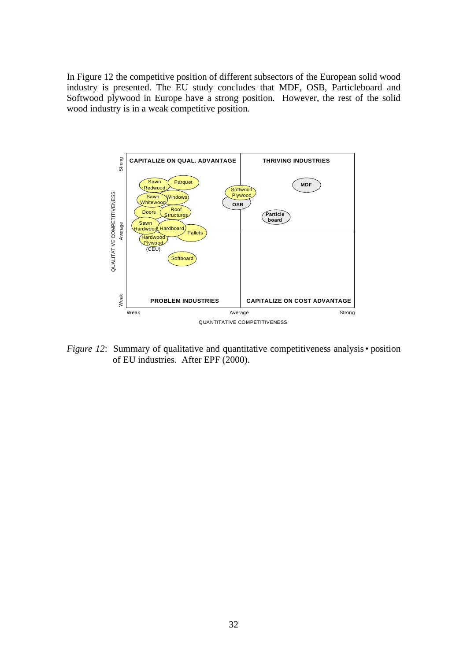In Figure 12 the competitive position of different subsectors of the European solid wood industry is presented. The EU study concludes that MDF, OSB, Particleboard and Softwood plywood in Europe have a strong position. However, the rest of the solid wood industry is in a weak competitive position.



*Figure 12*: Summary of qualitative and quantitative competitiveness analysis • position of EU industries. After EPF (2000).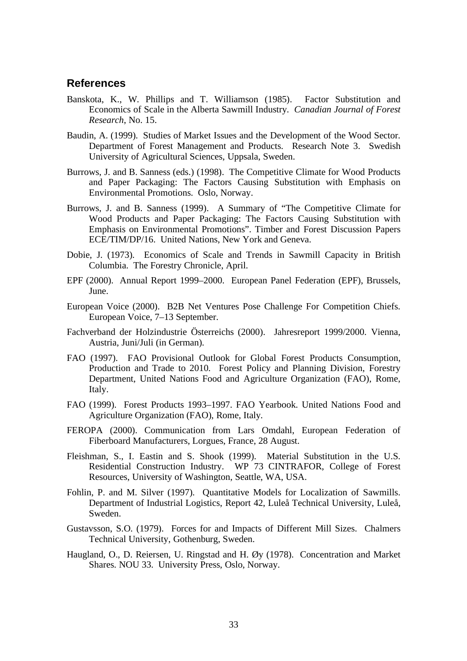#### **References**

- Banskota, K., W. Phillips and T. Williamson (1985). Factor Substitution and Economics of Scale in the Alberta Sawmill Industry. *Canadian Journal of Forest Research*, No. 15.
- Baudin, A. (1999). Studies of Market Issues and the Development of the Wood Sector. Department of Forest Management and Products. Research Note 3. Swedish University of Agricultural Sciences, Uppsala, Sweden.
- Burrows, J. and B. Sanness (eds.) (1998). The Competitive Climate for Wood Products and Paper Packaging: The Factors Causing Substitution with Emphasis on Environmental Promotions. Oslo, Norway.
- Burrows, J. and B. Sanness (1999). A Summary of "The Competitive Climate for Wood Products and Paper Packaging: The Factors Causing Substitution with Emphasis on Environmental Promotions". Timber and Forest Discussion Papers ECE/TIM/DP/16. United Nations, New York and Geneva.
- Dobie, J. (1973). Economics of Scale and Trends in Sawmill Capacity in British Columbia. The Forestry Chronicle, April.
- EPF (2000). Annual Report 1999–2000. European Panel Federation (EPF), Brussels, June.
- European Voice (2000). B2B Net Ventures Pose Challenge For Competition Chiefs. European Voice, 7–13 September.
- Fachverband der Holzindustrie Österreichs (2000). Jahresreport 1999/2000. Vienna, Austria, Juni/Juli (in German).
- FAO (1997). FAO Provisional Outlook for Global Forest Products Consumption, Production and Trade to 2010. Forest Policy and Planning Division, Forestry Department, United Nations Food and Agriculture Organization (FAO), Rome, Italy.
- FAO (1999). Forest Products 1993–1997. FAO Yearbook. United Nations Food and Agriculture Organization (FAO), Rome, Italy.
- FEROPA (2000). Communication from Lars Omdahl, European Federation of Fiberboard Manufacturers, Lorgues, France, 28 August.
- Fleishman, S., I. Eastin and S. Shook (1999). Material Substitution in the U.S. Residential Construction Industry. WP 73 CINTRAFOR, College of Forest Resources, University of Washington, Seattle, WA, USA.
- Fohlin, P. and M. Silver (1997). Quantitative Models for Localization of Sawmills. Department of Industrial Logistics, Report 42, Luleå Technical University, Luleå, Sweden.
- Gustavsson, S.O. (1979). Forces for and Impacts of Different Mill Sizes. Chalmers Technical University, Gothenburg, Sweden.
- Haugland, O., D. Reiersen, U. Ringstad and H. Øy (1978). Concentration and Market Shares. NOU 33. University Press, Oslo, Norway.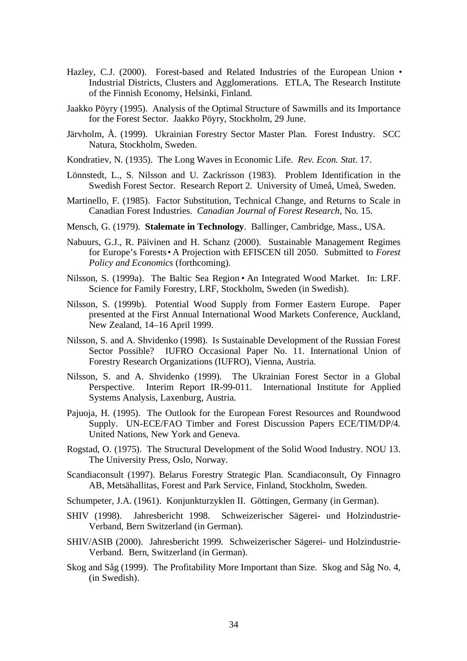- Hazley, C.J. (2000). Forest-based and Related Industries of the European Union Industrial Districts, Clusters and Agglomerations. ETLA, The Research Institute of the Finnish Economy, Helsinki, Finland.
- Jaakko Pöyry (1995). Analysis of the Optimal Structure of Sawmills and its Importance for the Forest Sector. Jaakko Pöyry, Stockholm, 29 June.
- Järvholm, Å. (1999). Ukrainian Forestry Sector Master Plan. Forest Industry. SCC Natura, Stockholm, Sweden.
- Kondratiev, N. (1935). The Long Waves in Economic Life. *Rev. Econ. Stat*. 17.
- Lönnstedt, L., S. Nilsson and U. Zackrisson (1983). Problem Identification in the Swedish Forest Sector. Research Report 2. University of Umeå, Umeå, Sweden.
- Martinello, F. (1985). Factor Substitution, Technical Change, and Returns to Scale in Canadian Forest Industries. *Canadian Journal of Forest Research*, No. 15.
- Mensch, G. (1979). **Stalemate in Technology**. Ballinger, Cambridge, Mass., USA.
- Nabuurs, G.J., R. Päivinen and H. Schanz (2000). Sustainable Management Regimes for Europe's Forests • A Projection with EFISCEN till 2050. Submitted to *Forest Policy and Economics* (forthcoming).
- Nilsson, S. (1999a). The Baltic Sea Region An Integrated Wood Market. In: LRF. Science for Family Forestry, LRF, Stockholm, Sweden (in Swedish).
- Nilsson, S. (1999b). Potential Wood Supply from Former Eastern Europe. Paper presented at the First Annual International Wood Markets Conference, Auckland, New Zealand, 14–16 April 1999.
- Nilsson, S. and A. Shvidenko (1998). Is Sustainable Development of the Russian Forest Sector Possible? IUFRO Occasional Paper No. 11. International Union of Forestry Research Organizations (IUFRO), Vienna, Austria.
- Nilsson, S. and A. Shvidenko (1999). The Ukrainian Forest Sector in a Global Perspective. Interim Report IR-99-011. International Institute for Applied Systems Analysis, Laxenburg, Austria.
- Pajuoja, H. (1995). The Outlook for the European Forest Resources and Roundwood Supply. UN-ECE/FAO Timber and Forest Discussion Papers ECE/TIM/DP/4. United Nations, New York and Geneva.
- Rogstad, O. (1975). The Structural Development of the Solid Wood Industry. NOU 13. The University Press, Oslo, Norway.
- Scandiaconsult (1997). Belarus Forestry Strategic Plan. Scandiaconsult, Oy Finnagro AB, Metsähallitas, Forest and Park Service, Finland, Stockholm, Sweden.
- Schumpeter, J.A. (1961). Konjunkturzyklen II. Göttingen, Germany (in German).
- SHIV (1998). Jahresbericht 1998. Schweizerischer Sägerei- und Holzindustrie-Verband, Bern Switzerland (in German).
- SHIV/ASIB (2000). Jahresbericht 1999. Schweizerischer Sägerei- und Holzindustrie-Verband. Bern, Switzerland (in German).
- Skog and Såg (1999). The Profitability More Important than Size. Skog and Såg No. 4, (in Swedish).